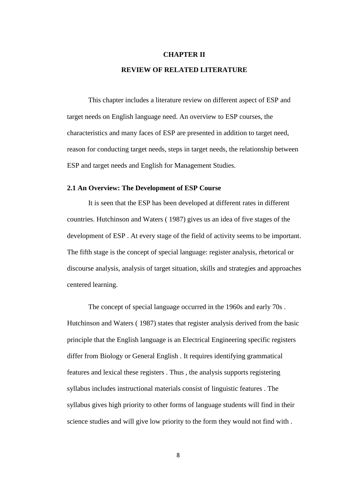# **CHAPTER II REVIEW OF RELATED LITERATURE**

This chapter includes a literature review on different aspect of ESP and target needs on English language need. An overview to ESP courses, the characteristics and many faces of ESP are presented in addition to target need, reason for conducting target needs, steps in target needs, the relationship between ESP and target needs and English for Management Studies.

#### **2.1 An Overview: The Development of ESP Course**

It is seen that the ESP has been developed at different rates in different countries. Hutchinson and Waters ( 1987) gives us an idea of five stages of the development of ESP . At every stage of the field of activity seems to be important. The fifth stage is the concept of special language: register analysis, rhetorical or discourse analysis, analysis of target situation, skills and strategies and approaches centered learning.

The concept of special language occurred in the 1960s and early 70s . Hutchinson and Waters ( 1987) states that register analysis derived from the basic principle that the English language is an Electrical Engineering specific registers differ from Biology or General English . It requires identifying grammatical features and lexical these registers . Thus , the analysis supports registering syllabus includes instructional materials consist of linguistic features . The syllabus gives high priority to other forms of language students will find in their science studies and will give low priority to the form they would not find with .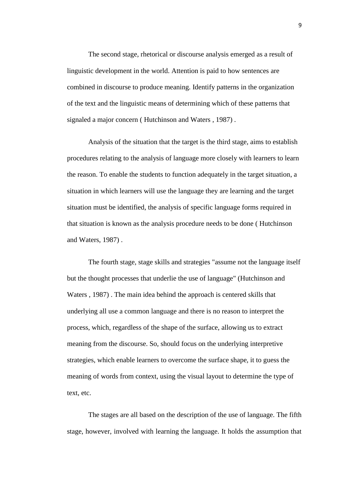The second stage, rhetorical or discourse analysis emerged as a result of linguistic development in the world. Attention is paid to how sentences are combined in discourse to produce meaning. Identify patterns in the organization of the text and the linguistic means of determining which of these patterns that signaled a major concern ( Hutchinson and Waters , 1987) .

Analysis of the situation that the target is the third stage, aims to establish procedures relating to the analysis of language more closely with learners to learn the reason. To enable the students to function adequately in the target situation, a situation in which learners will use the language they are learning and the target situation must be identified, the analysis of specific language forms required in that situation is known as the analysis procedure needs to be done ( Hutchinson and Waters, 1987) .

The fourth stage, stage skills and strategies "assume not the language itself but the thought processes that underlie the use of language" (Hutchinson and Waters , 1987) . The main idea behind the approach is centered skills that underlying all use a common language and there is no reason to interpret the process, which, regardless of the shape of the surface, allowing us to extract meaning from the discourse. So, should focus on the underlying interpretive strategies, which enable learners to overcome the surface shape, it to guess the meaning of words from context, using the visual layout to determine the type of text, etc.

The stages are all based on the description of the use of language. The fifth stage, however, involved with learning the language. It holds the assumption that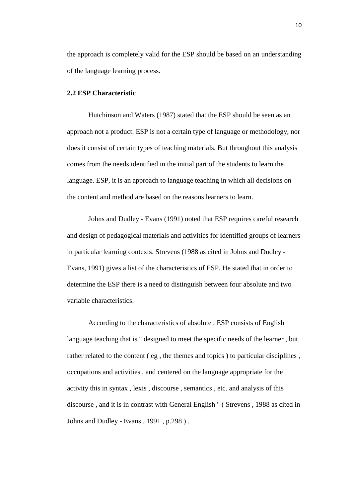the approach is completely valid for the ESP should be based on an understanding of the language learning process.

#### **2.2 ESP Characteristic**

Hutchinson and Waters (1987) stated that the ESP should be seen as an approach not a product. ESP is not a certain type of language or methodology, nor does it consist of certain types of teaching materials. But throughout this analysis comes from the needs identified in the initial part of the students to learn the language. ESP, it is an approach to language teaching in which all decisions on the content and method are based on the reasons learners to learn.

Johns and Dudley - Evans (1991) noted that ESP requires careful research and design of pedagogical materials and activities for identified groups of learners in particular learning contexts. Strevens (1988 as cited in Johns and Dudley - Evans, 1991) gives a list of the characteristics of ESP. He stated that in order to determine the ESP there is a need to distinguish between four absolute and two variable characteristics.

According to the characteristics of absolute , ESP consists of English language teaching that is " designed to meet the specific needs of the learner , but rather related to the content ( eg , the themes and topics ) to particular disciplines , occupations and activities , and centered on the language appropriate for the activity this in syntax , lexis , discourse , semantics , etc. and analysis of this discourse , and it is in contrast with General English " ( Strevens , 1988 as cited in Johns and Dudley - Evans , 1991 , p.298 ) .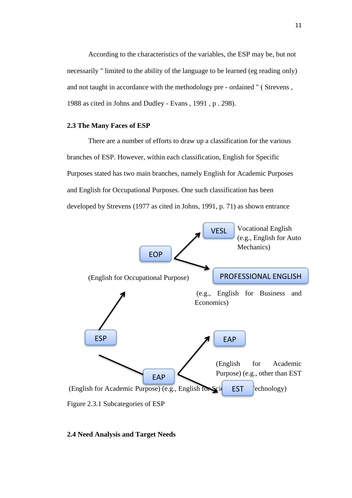According to the characteristics of the variables, the ESP may be, but not necessarily " limited to the ability of the language to be learned (eg reading only) and not taught in accordance with the methodology pre - ordained " ( Strevens , 1988 as cited in Johns and Dudley - Evans , 1991 , p . 298).

## **2.3 The Many Faces of ESP**

There are a number of efforts to draw up a classification for the various branches of ESP. However, within each classification, English for Specific Purposes stated has two main branches, namely English for Academic Purposes and English for Occupational Purposes. One such classification has been developed by Strevens (1977 as cited in Johns, 1991, p. 71) as shown entrance



# **2.4 Need Analysis and Target Needs**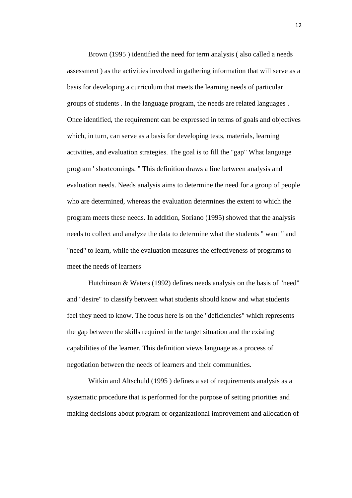Brown (1995 ) identified the need for term analysis ( also called a needs assessment ) as the activities involved in gathering information that will serve as a basis for developing a curriculum that meets the learning needs of particular groups of students . In the language program, the needs are related languages . Once identified, the requirement can be expressed in terms of goals and objectives which, in turn, can serve as a basis for developing tests, materials, learning activities, and evaluation strategies. The goal is to fill the "gap" What language program ' shortcomings. " This definition draws a line between analysis and evaluation needs. Needs analysis aims to determine the need for a group of people who are determined, whereas the evaluation determines the extent to which the program meets these needs. In addition, Soriano (1995) showed that the analysis needs to collect and analyze the data to determine what the students " want " and "need" to learn, while the evaluation measures the effectiveness of programs to meet the needs of learners

Hutchinson & Waters (1992) defines needs analysis on the basis of "need" and "desire" to classify between what students should know and what students feel they need to know. The focus here is on the "deficiencies" which represents the gap between the skills required in the target situation and the existing capabilities of the learner. This definition views language as a process of negotiation between the needs of learners and their communities.

Witkin and Altschuld (1995 ) defines a set of requirements analysis as a systematic procedure that is performed for the purpose of setting priorities and making decisions about program or organizational improvement and allocation of

12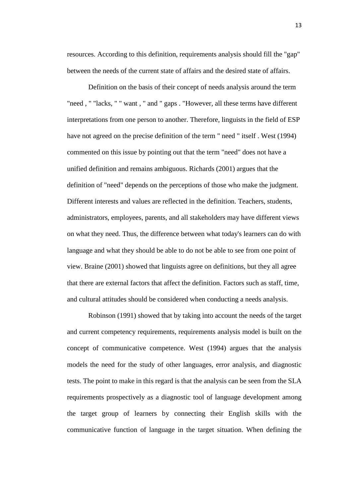resources. According to this definition, requirements analysis should fill the "gap" between the needs of the current state of affairs and the desired state of affairs.

Definition on the basis of their concept of needs analysis around the term "need , " "lacks, " " want , " and " gaps . "However, all these terms have different interpretations from one person to another. Therefore, linguists in the field of ESP have not agreed on the precise definition of the term " need " itself . West (1994) commented on this issue by pointing out that the term "need" does not have a unified definition and remains ambiguous. Richards (2001) argues that the definition of "need" depends on the perceptions of those who make the judgment. Different interests and values are reflected in the definition. Teachers, students, administrators, employees, parents, and all stakeholders may have different views on what they need. Thus, the difference between what today's learners can do with language and what they should be able to do not be able to see from one point of view. Braine (2001) showed that linguists agree on definitions, but they all agree that there are external factors that affect the definition. Factors such as staff, time, and cultural attitudes should be considered when conducting a needs analysis.

Robinson (1991) showed that by taking into account the needs of the target and current competency requirements, requirements analysis model is built on the concept of communicative competence. West (1994) argues that the analysis models the need for the study of other languages, error analysis, and diagnostic tests. The point to make in this regard is that the analysis can be seen from the SLA requirements prospectively as a diagnostic tool of language development among the target group of learners by connecting their English skills with the communicative function of language in the target situation. When defining the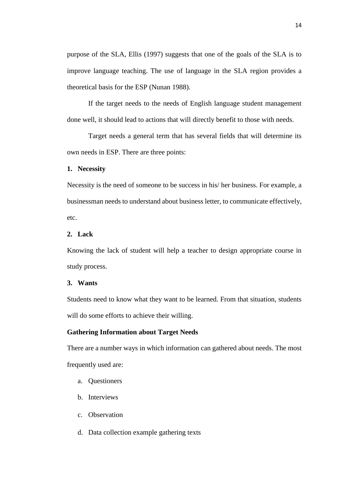purpose of the SLA, Ellis (1997) suggests that one of the goals of the SLA is to improve language teaching. The use of language in the SLA region provides a theoretical basis for the ESP (Nunan 1988).

If the target needs to the needs of English language student management done well, it should lead to actions that will directly benefit to those with needs.

Target needs a general term that has several fields that will determine its own needs in ESP. There are three points:

## **1. Necessity**

Necessity is the need of someone to be success in his/ her business. For example, a businessman needs to understand about business letter, to communicate effectively, etc.

## **2. Lack**

Knowing the lack of student will help a teacher to design appropriate course in study process.

# **3. Wants**

Students need to know what they want to be learned. From that situation, students will do some efforts to achieve their willing.

## **Gathering Information about Target Needs**

There are a number ways in which information can gathered about needs. The most frequently used are:

- a. Questioners
- b. Interviews
- c. Observation
- d. Data collection example gathering texts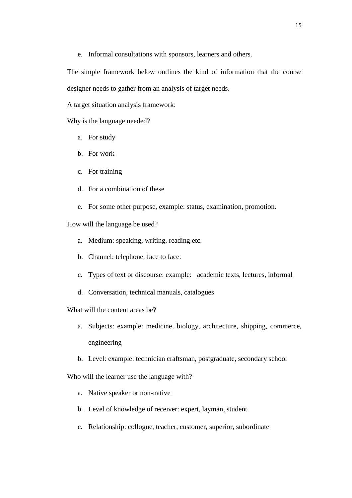e. Informal consultations with sponsors, learners and others.

The simple framework below outlines the kind of information that the course designer needs to gather from an analysis of target needs.

A target situation analysis framework:

Why is the language needed?

- a. For study
- b. For work
- c. For training
- d. For a combination of these
- e. For some other purpose, example: status, examination, promotion.

How will the language be used?

- a. Medium: speaking, writing, reading etc.
- b. Channel: telephone, face to face.
- c. Types of text or discourse: example: academic texts, lectures, informal
- d. Conversation, technical manuals, catalogues

What will the content areas be?

- a. Subjects: example: medicine, biology, architecture, shipping, commerce, engineering
- b. Level: example: technician craftsman, postgraduate, secondary school

Who will the learner use the language with?

- a. Native speaker or non-native
- b. Level of knowledge of receiver: expert, layman, student
- c. Relationship: collogue, teacher, customer, superior, subordinate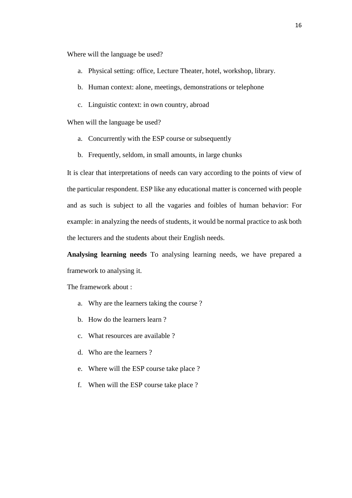Where will the language be used?

- a. Physical setting: office, Lecture Theater, hotel, workshop, library.
- b. Human context: alone, meetings, demonstrations or telephone
- c. Linguistic context: in own country, abroad

When will the language be used?

- a. Concurrently with the ESP course or subsequently
- b. Frequently, seldom, in small amounts, in large chunks

It is clear that interpretations of needs can vary according to the points of view of the particular respondent. ESP like any educational matter is concerned with people and as such is subject to all the vagaries and foibles of human behavior: For example: in analyzing the needs of students, it would be normal practice to ask both the lecturers and the students about their English needs.

**Analysing learning needs** To analysing learning needs, we have prepared a framework to analysing it.

The framework about :

- a. Why are the learners taking the course ?
- b. How do the learners learn ?
- c. What resources are available ?
- d. Who are the learners ?
- e. Where will the ESP course take place ?
- f. When will the ESP course take place ?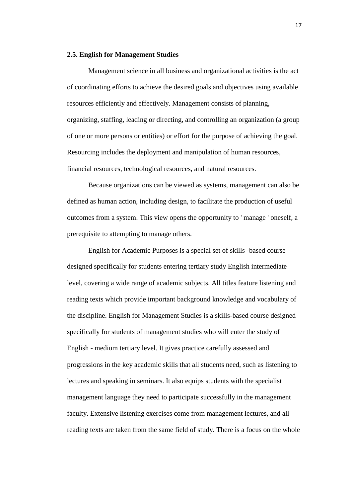#### **2.5. English for Management Studies**

Management science in all business and organizational activities is the act of coordinating efforts to achieve the desired goals and objectives using available resources efficiently and effectively. Management consists of planning, organizing, staffing, leading or directing, and controlling an organization (a group of one or more persons or entities) or effort for the purpose of achieving the goal. Resourcing includes the deployment and manipulation of human resources, financial resources, technological resources, and natural resources.

Because organizations can be viewed as systems, management can also be defined as human action, including design, to facilitate the production of useful outcomes from a system. This view opens the opportunity to ' manage ' oneself, a prerequisite to attempting to manage others.

English for Academic Purposes is a special set of skills -based course designed specifically for students entering tertiary study English intermediate level, covering a wide range of academic subjects. All titles feature listening and reading texts which provide important background knowledge and vocabulary of the discipline. English for Management Studies is a skills-based course designed specifically for students of management studies who will enter the study of English - medium tertiary level. It gives practice carefully assessed and progressions in the key academic skills that all students need, such as listening to lectures and speaking in seminars. It also equips students with the specialist management language they need to participate successfully in the management faculty. Extensive listening exercises come from management lectures, and all reading texts are taken from the same field of study. There is a focus on the whole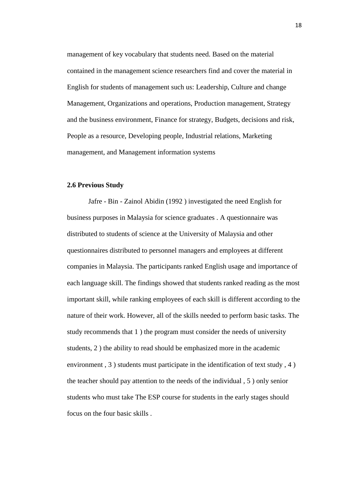management of key vocabulary that students need. Based on the material contained in the management science researchers find and cover the material in English for students of management such us: Leadership, Culture and change Management, Organizations and operations, Production management, Strategy and the business environment, Finance for strategy, Budgets, decisions and risk, People as a resource, Developing people, Industrial relations, Marketing management, and Management information systems

### **2.6 Previous Study**

Jafre - Bin - Zainol Abidin (1992 ) investigated the need English for business purposes in Malaysia for science graduates . A questionnaire was distributed to students of science at the University of Malaysia and other questionnaires distributed to personnel managers and employees at different companies in Malaysia. The participants ranked English usage and importance of each language skill. The findings showed that students ranked reading as the most important skill, while ranking employees of each skill is different according to the nature of their work. However, all of the skills needed to perform basic tasks. The study recommends that 1 ) the program must consider the needs of university students, 2 ) the ability to read should be emphasized more in the academic environment , 3 ) students must participate in the identification of text study , 4 ) the teacher should pay attention to the needs of the individual , 5 ) only senior students who must take The ESP course for students in the early stages should focus on the four basic skills .